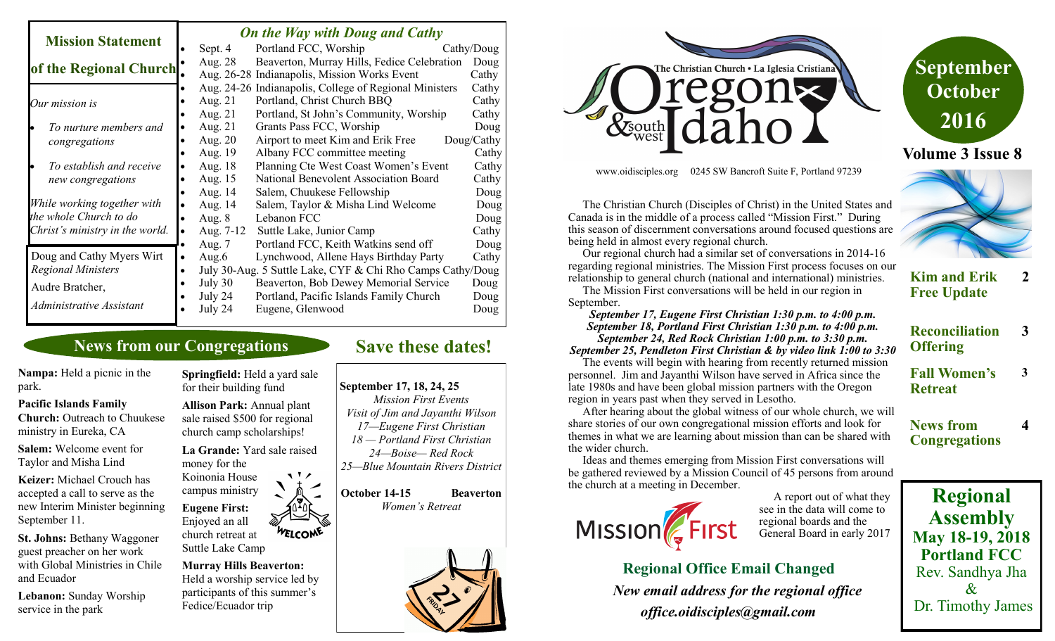| <b>Mission Statement</b>        |           | <b>On the Way with Doug and Cathy</b> |                                                            |            |  |
|---------------------------------|-----------|---------------------------------------|------------------------------------------------------------|------------|--|
|                                 |           | Sept. 4                               | Portland FCC, Worship                                      | Cathy/Doug |  |
| of the Regional Church.         |           | Aug. 28                               | Beaverton, Murray Hills, Fedice Celebration                | Doug       |  |
|                                 |           |                                       | Aug. 26-28 Indianapolis, Mission Works Event               | Cathy      |  |
|                                 |           |                                       | Aug. 24-26 Indianapolis, College of Regional Ministers     | Cathy      |  |
| Our mission is                  |           | Aug. 21                               | Portland, Christ Church BBQ                                | Cathy      |  |
|                                 |           | Aug. 21                               | Portland, St John's Community, Worship                     | Cathy      |  |
| To nurture members and          |           | Aug. 21                               | Grants Pass FCC, Worship                                   | Doug       |  |
| congregations                   |           | Aug. 20                               | Airport to meet Kim and Erik Free                          | Doug/Cathy |  |
|                                 |           | Aug. 19                               | Albany FCC committee meeting                               | Cathy      |  |
| To establish and receive        |           | Aug. 18                               | Planning Cte West Coast Women's Event                      | Cathy      |  |
| new congregations               |           | Aug. 15                               | National Benevolent Association Board                      | Cathy      |  |
|                                 |           | Aug. 14                               | Salem, Chuukese Fellowship                                 | Doug       |  |
| While working together with     |           | Aug. 14                               | Salem, Taylor & Misha Lind Welcome                         | Doug       |  |
| the whole Church to do          |           | Aug. $8$                              | Lebanon FCC                                                | Doug       |  |
| Christ's ministry in the world. |           | Aug. 7-12                             | Suttle Lake, Junior Camp                                   | Cathy      |  |
|                                 |           | Aug. 7                                | Portland FCC, Keith Watkins send off                       | Doug       |  |
| Doug and Cathy Myers Wirt       | $\bullet$ | Aug.6                                 | Lynchwood, Allene Hays Birthday Party                      | Cathy      |  |
| <b>Regional Ministers</b>       | $\bullet$ |                                       | July 30-Aug. 5 Suttle Lake, CYF & Chi Rho Camps Cathy/Doug |            |  |
| Audre Bratcher,                 |           | July 30                               | Beaverton, Bob Dewey Memorial Service                      | Doug       |  |
|                                 |           | July 24                               | Portland, Pacific Islands Family Church                    | Doug       |  |
| Administrative Assistant        |           | July 24                               | Eugene, Glenwood                                           | Doug       |  |

## **News from our Congregations**

**Nampa:** Held a picnic in the park.

#### **Pacific Islands Family**

**Church:** Outreach to Chuukese ministry in Eureka, CA

**Salem:** Welcome event for Taylor and Misha Lind

**Keizer:** Michael Crouch has accepted a call to serve as the new Interim Minister beginning September 11.

**St. Johns:** Bethany Waggoner guest preacher on her work with Global Ministries in Chile and Ecuador

**Lebanon:** Sunday Worship service in the park

**Springfield:** Held a yard sale for their building fund

**Allison Park:** Annual plant sale raised \$500 for regional church camp scholarships!

**La Grande:** Yard sale raised money for the

11/

Koinonia House campus ministry **Eugene First:**  Enjoyed an all

WELCOME church retreat at Suttle Lake Camp

**Murray Hills Beaverton:**  Held a worship service led by participants of this summer's Fedice/Ecuador trip

# **Save these dates!**

#### **September 17, 18, 24, 25**

*Mission First Events Visit of Jim and Jayanthi Wilson 17—Eugene First Christian 18 — Portland First Christian 24—Boise— Red Rock 25—Blue Mountain Rivers District*

**October 14-15 Beaverton**  *Women's Retreat*





www.oidisciples.org 0245 SW Bancroft Suite F, Portland 97239

 The Christian Church (Disciples of Christ) in the United States and Canada is in the middle of a process called "Mission First." During this season of discernment conversations around focused questions are being held in almost every regional church.

 Our regional church had a similar set of conversations in 2014-16 regarding regional ministries. The Mission First process focuses on our relationship to general church (national and international) ministries.

 The Mission First conversations will be held in our region in September.

*September 17, Eugene First Christian 1:30 p.m. to 4:00 p.m. September 18, Portland First Christian 1:30 p.m. to 4:00 p.m. September 24, Red Rock Christian 1:00 p.m. to 3:30 p.m. September 25, Pendleton First Christian & by video link 1:00 to 3:30*

 The events will begin with hearing from recently returned mission personnel. Jim and Jayanthi Wilson have served in Africa since the late 1980s and have been global mission partners with the Oregon region in years past when they served in Lesotho.

 After hearing about the global witness of our whole church, we will share stories of our own congregational mission efforts and look for themes in what we are learning about mission than can be shared with the wider church.

 Ideas and themes emerging from Mission First conversations will be gathered reviewed by a Mission Council of 45 persons from around the church at a meeting in December.



 A report out of what they see in the data will come to regional boards and the General Board in early 2017

**Regional Office Email Changed**  *New email address for the regional office office.oidisciples@gmail.com*



#### **Kim and Erik Free Update 2**

**Reconciliation Offering 3**

**3**

**4**

**Fall Women's Retreat**

**News from Congregations**

**Regional** 

**Assembly May 18-19, 2018 Portland FCC** Rev. Sandhya Jha  $\mathcal{X}$ Dr. Timothy James